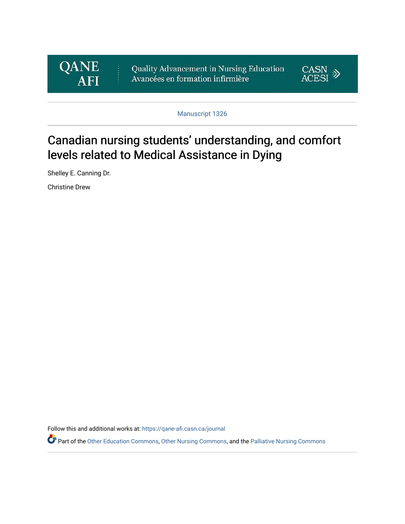

Quality Advancement in Nursing Education Avancées en formation infirmière



Manuscript 1326

# Canadian nursing students' understanding, and comfort levels related to Medical Assistance in Dying

Shelley E. Canning Dr.

Christine Drew

Follow this and additional works at: [https://qane-afi.casn.ca/journal](https://qane-afi.casn.ca/journal?utm_source=qane-afi.casn.ca%2Fjournal%2Fvol8%2Fiss2%2F9&utm_medium=PDF&utm_campaign=PDFCoverPages) 

Part of the [Other Education Commons,](https://network.bepress.com/hgg/discipline/811?utm_source=qane-afi.casn.ca%2Fjournal%2Fvol8%2Fiss2%2F9&utm_medium=PDF&utm_campaign=PDFCoverPages) [Other Nursing Commons,](https://network.bepress.com/hgg/discipline/729?utm_source=qane-afi.casn.ca%2Fjournal%2Fvol8%2Fiss2%2F9&utm_medium=PDF&utm_campaign=PDFCoverPages) and the [Palliative Nursing Commons](https://network.bepress.com/hgg/discipline/1433?utm_source=qane-afi.casn.ca%2Fjournal%2Fvol8%2Fiss2%2F9&utm_medium=PDF&utm_campaign=PDFCoverPages)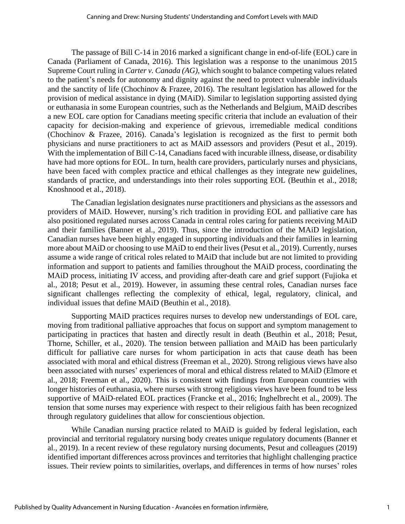The passage of Bill C-14 in 2016 marked a significant change in end-of-life (EOL) care in Canada (Parliament of Canada, 2016). This legislation was a response to the unanimous 2015 Supreme Court ruling in *Carter v. Canada (AG)*, which sought to balance competing values related to the patient's needs for autonomy and dignity against the need to protect vulnerable individuals and the sanctity of life (Chochinov & Frazee, 2016). The resultant legislation has allowed for the provision of medical assistance in dying (MAiD). Similar to legislation supporting assisted dying or euthanasia in some European countries, such as the Netherlands and Belgium, MAiD describes a new EOL care option for Canadians meeting specific criteria that include an evaluation of their capacity for decision-making and experience of grievous, irremediable medical conditions (Chochinov & Frazee, 2016). Canada's legislation is recognized as the first to permit both physicians and nurse practitioners to act as MAiD assessors and providers (Pesut et al., 2019). With the implementation of Bill C-14, Canadians faced with incurable illness, disease, or disability have had more options for EOL. In turn, health care providers, particularly nurses and physicians, have been faced with complex practice and ethical challenges as they integrate new guidelines, standards of practice, and understandings into their roles supporting EOL (Beuthin et al., 2018; Knoshnood et al., 2018).

The Canadian legislation designates nurse practitioners and physicians as the assessors and providers of MAiD. However, nursing's rich tradition in providing EOL and palliative care has also positioned regulated nurses across Canada in central roles caring for patients receiving MAiD and their families (Banner et al., 2019). Thus, since the introduction of the MAiD legislation, Canadian nurses have been highly engaged in supporting individuals and their families in learning more about MAiD or choosing to use MAiD to end their lives (Pesut et al., 2019). Currently, nurses assume a wide range of critical roles related to MAiD that include but are not limited to providing information and support to patients and families throughout the MAiD process, coordinating the MAiD process, initiating IV access, and providing after-death care and grief support (Fujioka et al., 2018; Pesut et al., 2019). However, in assuming these central roles, Canadian nurses face significant challenges reflecting the complexity of ethical, legal, regulatory, clinical, and individual issues that define MAiD (Beuthin et al., 2018).

Supporting MAiD practices requires nurses to develop new understandings of EOL care, moving from traditional palliative approaches that focus on support and symptom management to participating in practices that hasten and directly result in death (Beuthin et al., 2018; Pesut, Thorne, Schiller, et al., 2020). The tension between palliation and MAiD has been particularly difficult for palliative care nurses for whom participation in acts that cause death has been associated with moral and ethical distress (Freeman et al., 2020). Strong religious views have also been associated with nurses' experiences of moral and ethical distress related to MAiD (Elmore et al., 2018; Freeman et al., 2020). This is consistent with findings from European countries with longer histories of euthanasia, where nurses with strong religious views have been found to be less supportive of MAiD-related EOL practices (Francke et al., 2016; Inghelbrecht et al., 2009). The tension that some nurses may experience with respect to their religious faith has been recognized through regulatory guidelines that allow for conscientious objection.

While Canadian nursing practice related to MAiD is guided by federal legislation, each provincial and territorial regulatory nursing body creates unique regulatory documents (Banner et al., 2019). In a recent review of these regulatory nursing documents, Pesut and colleagues (2019) identified important differences across provinces and territories that highlight challenging practice issues. Their review points to similarities, overlaps, and differences in terms of how nurses' roles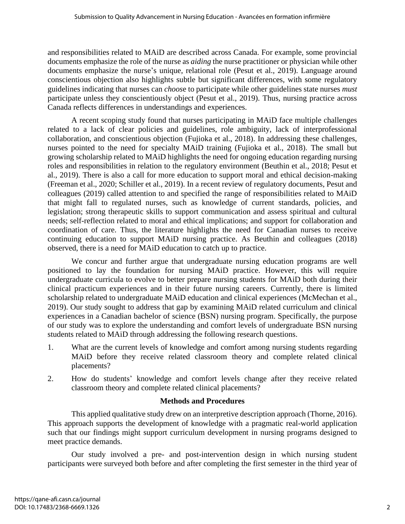and responsibilities related to MAiD are described across Canada. For example, some provincial documents emphasize the role of the nurse as *aiding* the nurse practitioner or physician while other documents emphasize the nurse's unique, relational role (Pesut et al., 2019). Language around conscientious objection also highlights subtle but significant differences, with some regulatory guidelines indicating that nurses can *choos*e to participate while other guidelines state nurses *must* participate unless they conscientiously object (Pesut et al., 2019). Thus, nursing practice across Canada reflects differences in understandings and experiences.

A recent scoping study found that nurses participating in MAiD face multiple challenges related to a lack of clear policies and guidelines, role ambiguity, lack of interprofessional collaboration, and conscientious objection (Fujioka et al., 2018). In addressing these challenges, nurses pointed to the need for specialty MAiD training (Fujioka et al., 2018). The small but growing scholarship related to MAiD highlights the need for ongoing education regarding nursing roles and responsibilities in relation to the regulatory environment (Beuthin et al., 2018; Pesut et al., 2019). There is also a call for more education to support moral and ethical decision-making (Freeman et al., 2020; Schiller et al., 2019). In a recent review of regulatory documents, Pesut and colleagues (2019) called attention to and specified the range of responsibilities related to MAiD that might fall to regulated nurses, such as knowledge of current standards, policies, and legislation; strong therapeutic skills to support communication and assess spiritual and cultural needs; self-reflection related to moral and ethical implications; and support for collaboration and coordination of care. Thus, the literature highlights the need for Canadian nurses to receive continuing education to support MAiD nursing practice. As Beuthin and colleagues (2018) observed, there is a need for MAiD education to catch up to practice.

We concur and further argue that undergraduate nursing education programs are well positioned to lay the foundation for nursing MAiD practice. However, this will require undergraduate curricula to evolve to better prepare nursing students for MAiD both during their clinical practicum experiences and in their future nursing careers. Currently, there is limited scholarship related to undergraduate MAiD education and clinical experiences (McMechan et al., 2019). Our study sought to address that gap by examining MAiD related curriculum and clinical experiences in a Canadian bachelor of science (BSN) nursing program. Specifically, the purpose of our study was to explore the understanding and comfort levels of undergraduate BSN nursing students related to MAiD through addressing the following research questions.

- 1. What are the current levels of knowledge and comfort among nursing students regarding MAiD before they receive related classroom theory and complete related clinical placements?
- 2. How do students' knowledge and comfort levels change after they receive related classroom theory and complete related clinical placements?

## **Methods and Procedures**

This applied qualitative study drew on an interpretive description approach (Thorne, 2016). This approach supports the development of knowledge with a pragmatic real-world application such that our findings might support curriculum development in nursing programs designed to meet practice demands.

Our study involved a pre- and post-intervention design in which nursing student participants were surveyed both before and after completing the first semester in the third year of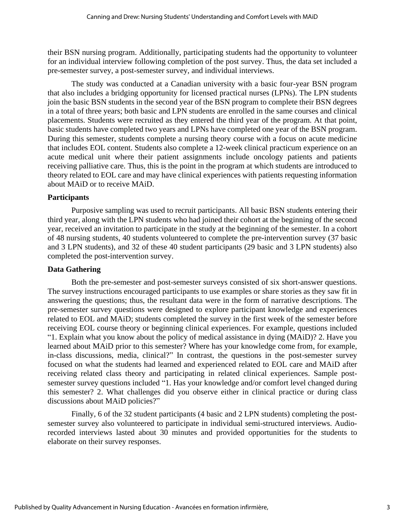their BSN nursing program. Additionally, participating students had the opportunity to volunteer for an individual interview following completion of the post survey. Thus, the data set included a pre-semester survey, a post-semester survey, and individual interviews.

The study was conducted at a Canadian university with a basic four-year BSN program that also includes a bridging opportunity for licensed practical nurses (LPNs). The LPN students join the basic BSN students in the second year of the BSN program to complete their BSN degrees in a total of three years; both basic and LPN students are enrolled in the same courses and clinical placements. Students were recruited as they entered the third year of the program. At that point, basic students have completed two years and LPNs have completed one year of the BSN program. During this semester, students complete a nursing theory course with a focus on acute medicine that includes EOL content. Students also complete a 12-week clinical practicum experience on an acute medical unit where their patient assignments include oncology patients and patients receiving palliative care. Thus, this is the point in the program at which students are introduced to theory related to EOL care and may have clinical experiences with patients requesting information about MAiD or to receive MAiD.

## **Participants**

Purposive sampling was used to recruit participants. All basic BSN students entering their third year, along with the LPN students who had joined their cohort at the beginning of the second year, received an invitation to participate in the study at the beginning of the semester. In a cohort of 48 nursing students, 40 students volunteered to complete the pre-intervention survey (37 basic and 3 LPN students), and 32 of these 40 student participants (29 basic and 3 LPN students) also completed the post-intervention survey.

# **Data Gathering**

Both the pre-semester and post-semester surveys consisted of six short-answer questions. The survey instructions encouraged participants to use examples or share stories as they saw fit in answering the questions; thus, the resultant data were in the form of narrative descriptions. The pre-semester survey questions were designed to explore participant knowledge and experiences related to EOL and MAiD; students completed the survey in the first week of the semester before receiving EOL course theory or beginning clinical experiences. For example, questions included "1. Explain what you know about the policy of medical assistance in dying (MAiD)? 2. Have you learned about MAiD prior to this semester? Where has your knowledge come from, for example, in-class discussions, media, clinical?" In contrast, the questions in the post-semester survey focused on what the students had learned and experienced related to EOL care and MAiD after receiving related class theory and participating in related clinical experiences. Sample postsemester survey questions included "1. Has your knowledge and/or comfort level changed during this semester? 2. What challenges did you observe either in clinical practice or during class discussions about MAiD policies?"

Finally, 6 of the 32 student participants (4 basic and 2 LPN students) completing the postsemester survey also volunteered to participate in individual semi-structured interviews. Audiorecorded interviews lasted about 30 minutes and provided opportunities for the students to elaborate on their survey responses.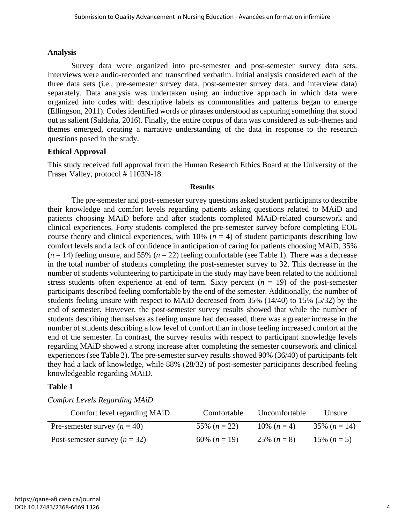### **Analysis**

Survey data were organized into pre-semester and post-semester survey data sets. Interviews were audio-recorded and transcribed verbatim. Initial analysis considered each of the three data sets (i.e., pre-semester survey data, post-semester survey data, and interview data) separately. Data analysis was undertaken using an inductive approach in which data were organized into codes with descriptive labels as commonalities and patterns began to emerge (Ellingson, 2011). Codes identified words or phrases understood as capturing something that stood out as salient (Saldaña, 2016). Finally, the entire corpus of data was considered as sub-themes and themes emerged, creating a narrative understanding of the data in response to the research questions posed in the study.

# **Ethical Approval**

This study received full approval from the Human Research Ethics Board at the University of the Fraser Valley, protocol #1103N-18.

#### **Results**

The pre-semester and post-semester survey questions asked student participants to describe their knowledge and comfort levels regarding patients asking questions related to MAiD and patients choosing MAiD before and after students completed MAiD-related coursework and clinical experiences. Forty students completed the pre-semester survey before completing EOL course theory and clinical experiences, with  $10\%$  ( $n = 4$ ) of student participants describing low comfort levels and a lack of confidence in anticipation of caring for patients choosing MAiD, 35%  $(n = 14)$  feeling unsure, and 55%  $(n = 22)$  feeling comfortable (see Table 1). There was a decrease in the total number of students completing the post-semester survey to 32. This decrease in the number of students volunteering to participate in the study may have been related to the additional stress students often experience at end of term. Sixty percent  $(n = 19)$  of the post-semester participants described feeling comfortable by the end of the semester. Additionally, the number of students feeling unsure with respect to MAiD decreased from 35% (14/40) to 15% (5/32) by the end of semester. However, the post-semester survey results showed that while the number of students describing themselves as feeling unsure had decreased, there was a greater increase in the number of students describing a low level of comfort than in those feeling increased comfort at the end of the semester. In contrast, the survey results with respect to participant knowledge levels regarding MAiD showed a strong increase after completing the semester coursework and clinical experiences (see Table 2). The pre-semester survey results showed 90% (36/40) of participants felt they had a lack of knowledge, while 88% (28/32) of post-semester participants described feeling knowledgeable regarding MAiD.

## **Table 1**

*Comfort Levels Regarding MAiD*

| Comfort level regarding MAiD    | Comfortable    | Uncomfortable | Unsure         |
|---------------------------------|----------------|---------------|----------------|
| Pre-semester survey $(n = 40)$  | 55% $(n = 22)$ | 10\% $(n=4)$  | 35% $(n = 14)$ |
| Post-semester survey $(n = 32)$ | 60% $(n = 19)$ | 25\% $(n=8)$  | 15% $(n=5)$    |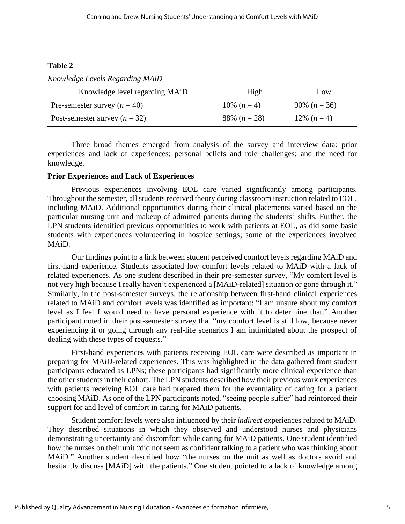# **Table 2**

### *Knowledge Levels Regarding MAiD*

| Knowledge level regarding MAiD  | High          | Low            |
|---------------------------------|---------------|----------------|
| Pre-semester survey $(n = 40)$  | 10\% $(n=4)$  | 90% $(n = 36)$ |
| Post-semester survey $(n = 32)$ | 88\% $(n=28)$ | 12\% $(n=4)$   |

Three broad themes emerged from analysis of the survey and interview data: prior experiences and lack of experiences; personal beliefs and role challenges; and the need for knowledge.

#### **Prior Experiences and Lack of Experiences**

Previous experiences involving EOL care varied significantly among participants. Throughout the semester, all students received theory during classroom instruction related to EOL, including MAiD. Additional opportunities during their clinical placements varied based on the particular nursing unit and makeup of admitted patients during the students' shifts. Further, the LPN students identified previous opportunities to work with patients at EOL, as did some basic students with experiences volunteering in hospice settings; some of the experiences involved MAiD.

Our findings point to a link between student perceived comfort levels regarding MAiD and first-hand experience. Students associated low comfort levels related to MAiD with a lack of related experiences. As one student described in their pre-semester survey, "My comfort level is not very high because I really haven't experienced a [MAiD-related] situation or gone through it." Similarly, in the post-semester surveys, the relationship between first-hand clinical experiences related to MAiD and comfort levels was identified as important: "I am unsure about my comfort level as I feel I would need to have personal experience with it to determine that." Another participant noted in their post-semester survey that "my comfort level is still low, because never experiencing it or going through any real-life scenarios I am intimidated about the prospect of dealing with these types of requests."

First-hand experiences with patients receiving EOL care were described as important in preparing for MAiD-related experiences. This was highlighted in the data gathered from student participants educated as LPNs; these participants had significantly more clinical experience than the other students in their cohort. The LPN students described how their previous work experiences with patients receiving EOL care had prepared them for the eventuality of caring for a patient choosing MAiD. As one of the LPN participants noted, "seeing people suffer" had reinforced their support for and level of comfort in caring for MAiD patients.

Student comfort levels were also influenced by their *indirect* experiences related to MAiD. They described situations in which they observed and understood nurses and physicians demonstrating uncertainty and discomfort while caring for MAiD patients. One student identified how the nurses on their unit "did not seem as confident talking to a patient who was thinking about MAiD." Another student described how "the nurses on the unit as well as doctors avoid and hesitantly discuss [MAiD] with the patients." One student pointed to a lack of knowledge among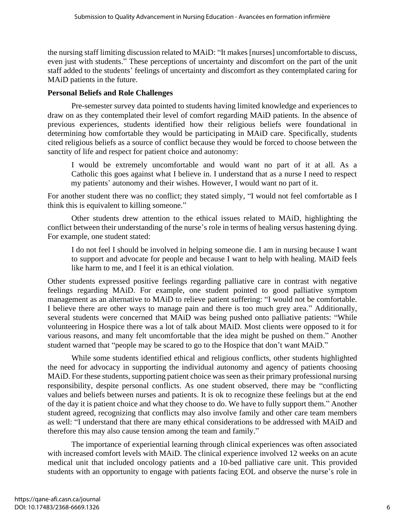the nursing staff limiting discussion related to MAiD: "It makes [nurses] uncomfortable to discuss, even just with students." These perceptions of uncertainty and discomfort on the part of the unit staff added to the students' feelings of uncertainty and discomfort as they contemplated caring for MAiD patients in the future.

# **Personal Beliefs and Role Challenges**

Pre-semester survey data pointed to students having limited knowledge and experiences to draw on as they contemplated their level of comfort regarding MAiD patients. In the absence of previous experiences, students identified how their religious beliefs were foundational in determining how comfortable they would be participating in MAiD care. Specifically, students cited religious beliefs as a source of conflict because they would be forced to choose between the sanctity of life and respect for patient choice and autonomy:

I would be extremely uncomfortable and would want no part of it at all. As a Catholic this goes against what I believe in. I understand that as a nurse I need to respect my patients' autonomy and their wishes. However, I would want no part of it.

For another student there was no conflict; they stated simply, "I would not feel comfortable as I think this is equivalent to killing someone."

Other students drew attention to the ethical issues related to MAiD, highlighting the conflict between their understanding of the nurse's role in terms of healing versus hastening dying. For example, one student stated:

I do not feel I should be involved in helping someone die. I am in nursing because I want to support and advocate for people and because I want to help with healing. MAiD feels like harm to me, and I feel it is an ethical violation.

Other students expressed positive feelings regarding palliative care in contrast with negative feelings regarding MAiD. For example, one student pointed to good palliative symptom management as an alternative to MAiD to relieve patient suffering: "I would not be comfortable. I believe there are other ways to manage pain and there is too much grey area." Additionally, several students were concerned that MAiD was being pushed onto palliative patients: "While volunteering in Hospice there was a lot of talk about MAiD. Most clients were opposed to it for various reasons, and many felt uncomfortable that the idea might be pushed on them." Another student warned that "people may be scared to go to the Hospice that don't want MAiD."

While some students identified ethical and religious conflicts, other students highlighted the need for advocacy in supporting the individual autonomy and agency of patients choosing MAID. For these students, supporting patient choice was seen as their primary professional nursing responsibility, despite personal conflicts. As one student observed, there may be "conflicting values and beliefs between nurses and patients. It is ok to recognize these feelings but at the end of the day it is patient choice and what they choose to do. We have to fully support them." Another student agreed, recognizing that conflicts may also involve family and other care team members as well: "I understand that there are many ethical considerations to be addressed with MAiD and therefore this may also cause tension among the team and family."

The importance of experiential learning through clinical experiences was often associated with increased comfort levels with MAiD. The clinical experience involved 12 weeks on an acute medical unit that included oncology patients and a 10-bed palliative care unit. This provided students with an opportunity to engage with patients facing EOL and observe the nurse's role in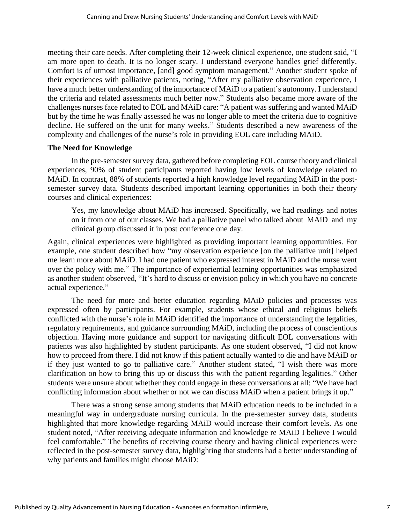meeting their care needs. After completing their 12-week clinical experience, one student said, "I am more open to death. It is no longer scary. I understand everyone handles grief differently. Comfort is of utmost importance, [and] good symptom management." Another student spoke of their experiences with palliative patients, noting, "After my palliative observation experience, I have a much better understanding of the importance of MAiD to a patient's autonomy. I understand the criteria and related assessments much better now." Students also became more aware of the challenges nurses face related to EOL and MAiD care: "A patient was suffering and wanted MAiD but by the time he was finally assessed he was no longer able to meet the criteria due to cognitive decline. He suffered on the unit for many weeks." Students described a new awareness of the complexity and challenges of the nurse's role in providing EOL care including MAiD.

## **The Need for Knowledge**

In the pre-semester survey data, gathered before completing EOL course theory and clinical experiences, 90% of student participants reported having low levels of knowledge related to MAiD. In contrast, 88% of students reported a high knowledge level regarding MAiD in the postsemester survey data. Students described important learning opportunities in both their theory courses and clinical experiences:

Yes, my knowledge about MAiD has increased. Specifically, we had readings and notes on it from one of our classes. We had a palliative panel who talked about MAiD and my clinical group discussed it in post conference one day.

Again, clinical experiences were highlighted as providing important learning opportunities. For example, one student described how "my observation experience [on the palliative unit] helped me learn more about MAiD. I had one patient who expressed interest in MAiD and the nurse went over the policy with me." The importance of experiential learning opportunities was emphasized as another student observed, "It's hard to discuss or envision policy in which you have no concrete actual experience."

The need for more and better education regarding MAiD policies and processes was expressed often by participants. For example, students whose ethical and religious beliefs conflicted with the nurse's role in MAiD identified the importance of understanding the legalities, regulatory requirements, and guidance surrounding MAiD, including the process of conscientious objection. Having more guidance and support for navigating difficult EOL conversations with patients was also highlighted by student participants. As one student observed, "I did not know how to proceed from there. I did not know if this patient actually wanted to die and have MAiD or if they just wanted to go to palliative care." Another student stated, "I wish there was more clarification on how to bring this up or discuss this with the patient regarding legalities." Other students were unsure about whether they could engage in these conversations at all: "We have had conflicting information about whether or not we can discuss MAiD when a patient brings it up."

There was a strong sense among students that MAiD education needs to be included in a meaningful way in undergraduate nursing curricula. In the pre-semester survey data, students highlighted that more knowledge regarding MAiD would increase their comfort levels. As one student noted, "After receiving adequate information and knowledge re MAiD I believe I would feel comfortable." The benefits of receiving course theory and having clinical experiences were reflected in the post-semester survey data, highlighting that students had a better understanding of why patients and families might choose MAiD: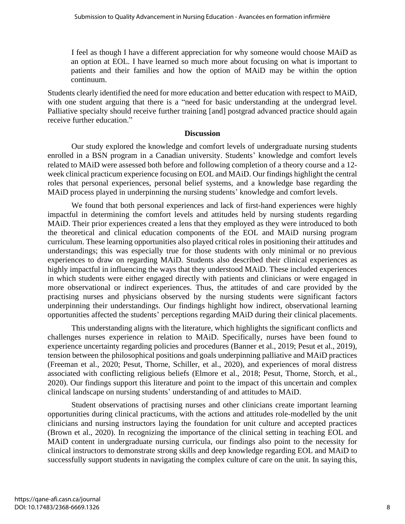I feel as though I have a different appreciation for why someone would choose MAiD as an option at EOL. I have learned so much more about focusing on what is important to patients and their families and how the option of MAiD may be within the option continuum.

Students clearly identified the need for more education and better education with respect to MAiD, with one student arguing that there is a "need for basic understanding at the undergrad level. Palliative specialty should receive further training [and] postgrad advanced practice should again receive further education."

#### **Discussion**

Our study explored the knowledge and comfort levels of undergraduate nursing students enrolled in a BSN program in a Canadian university. Students' knowledge and comfort levels related to MAiD were assessed both before and following completion of a theory course and a 12 week clinical practicum experience focusing on EOL and MAiD. Our findings highlight the central roles that personal experiences, personal belief systems, and a knowledge base regarding the MAiD process played in underpinning the nursing students' knowledge and comfort levels.

We found that both personal experiences and lack of first-hand experiences were highly impactful in determining the comfort levels and attitudes held by nursing students regarding MAiD. Their prior experiences created a lens that they employed as they were introduced to both the theoretical and clinical education components of the EOL and MAiD nursing program curriculum. These learning opportunities also played critical roles in positioning their attitudes and understandings; this was especially true for those students with only minimal or no previous experiences to draw on regarding MAiD. Students also described their clinical experiences as highly impactful in influencing the ways that they understood MAiD. These included experiences in which students were either engaged directly with patients and clinicians or were engaged in more observational or indirect experiences. Thus, the attitudes of and care provided by the practising nurses and physicians observed by the nursing students were significant factors underpinning their understandings. Our findings highlight how indirect, observational learning opportunities affected the students' perceptions regarding MAiD during their clinical placements.

This understanding aligns with the literature, which highlights the significant conflicts and challenges nurses experience in relation to MAiD. Specifically, nurses have been found to experience uncertainty regarding policies and procedures (Banner et al., 2019; Pesut et al., 2019), tension between the philosophical positions and goals underpinning palliative and MAiD practices (Freeman et al., 2020; Pesut, Thorne, Schiller, et al., 2020), and experiences of moral distress associated with conflicting religious beliefs (Elmore et al., 2018; Pesut, Thorne, Storch, et al., 2020). Our findings support this literature and point to the impact of this uncertain and complex clinical landscape on nursing students' understanding of and attitudes to MAiD.

Student observations of practising nurses and other clinicians create important learning opportunities during clinical practicums, with the actions and attitudes role-modelled by the unit clinicians and nursing instructors laying the foundation for unit culture and accepted practices (Brown et al., 2020). In recognizing the importance of the clinical setting in teaching EOL and MAiD content in undergraduate nursing curricula, our findings also point to the necessity for clinical instructors to demonstrate strong skills and deep knowledge regarding EOL and MAiD to successfully support students in navigating the complex culture of care on the unit. In saying this,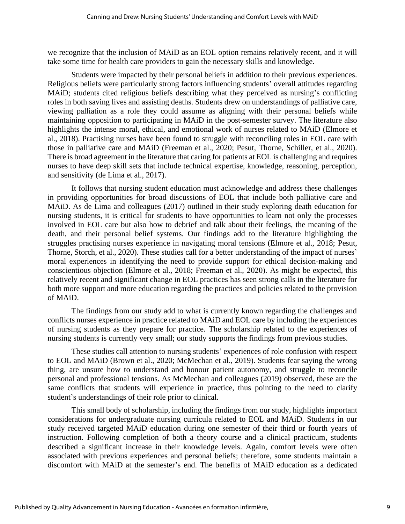we recognize that the inclusion of MAiD as an EOL option remains relatively recent, and it will take some time for health care providers to gain the necessary skills and knowledge.

Students were impacted by their personal beliefs in addition to their previous experiences. Religious beliefs were particularly strong factors influencing students' overall attitudes regarding MAiD; students cited religious beliefs describing what they perceived as nursing's conflicting roles in both saving lives and assisting deaths. Students drew on understandings of palliative care, viewing palliation as a role they could assume as aligning with their personal beliefs while maintaining opposition to participating in MAiD in the post-semester survey. The literature also highlights the intense moral, ethical, and emotional work of nurses related to MAiD (Elmore et al., 2018). Practising nurses have been found to struggle with reconciling roles in EOL care with those in palliative care and MAiD (Freeman et al., 2020; Pesut, Thorne, Schiller, et al., 2020). There is broad agreement in the literature that caring for patients at EOL is challenging and requires nurses to have deep skill sets that include technical expertise, knowledge, reasoning, perception, and sensitivity (de Lima et al., 2017).

It follows that nursing student education must acknowledge and address these challenges in providing opportunities for broad discussions of EOL that include both palliative care and MAiD. As de Lima and colleagues (2017) outlined in their study exploring death education for nursing students, it is critical for students to have opportunities to learn not only the processes involved in EOL care but also how to debrief and talk about their feelings, the meaning of the death, and their personal belief systems. Our findings add to the literature highlighting the struggles practising nurses experience in navigating moral tensions (Elmore et al., 2018; Pesut, Thorne, Storch, et al., 2020). These studies call for a better understanding of the impact of nurses' moral experiences in identifying the need to provide support for ethical decision-making and conscientious objection (Elmore et al., 2018; Freeman et al., 2020). As might be expected, this relatively recent and significant change in EOL practices has seen strong calls in the literature for both more support and more education regarding the practices and policies related to the provision of MAiD.

The findings from our study add to what is currently known regarding the challenges and conflicts nurses experience in practice related to MAiD and EOL care by including the experiences of nursing students as they prepare for practice. The scholarship related to the experiences of nursing students is currently very small; our study supports the findings from previous studies.

These studies call attention to nursing students' experiences of role confusion with respect to EOL and MAiD (Brown et al., 2020; McMechan et al., 2019). Students fear saying the wrong thing, are unsure how to understand and honour patient autonomy, and struggle to reconcile personal and professional tensions. As McMechan and colleagues (2019) observed, these are the same conflicts that students will experience in practice, thus pointing to the need to clarify student's understandings of their role prior to clinical.

This small body of scholarship, including the findings from our study, highlights important considerations for undergraduate nursing curricula related to EOL and MAiD. Students in our study received targeted MAiD education during one semester of their third or fourth years of instruction. Following completion of both a theory course and a clinical practicum, students described a significant increase in their knowledge levels. Again, comfort levels were often associated with previous experiences and personal beliefs; therefore, some students maintain a discomfort with MAiD at the semester's end. The benefits of MAiD education as a dedicated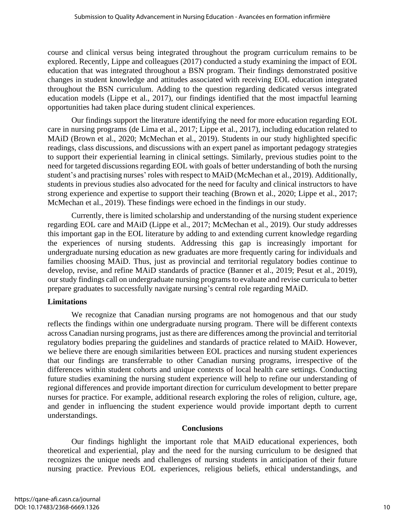course and clinical versus being integrated throughout the program curriculum remains to be explored. Recently, Lippe and colleagues (2017) conducted a study examining the impact of EOL education that was integrated throughout a BSN program. Their findings demonstrated positive changes in student knowledge and attitudes associated with receiving EOL education integrated throughout the BSN curriculum. Adding to the question regarding dedicated versus integrated education models (Lippe et al., 2017), our findings identified that the most impactful learning opportunities had taken place during student clinical experiences.

Our findings support the literature identifying the need for more education regarding EOL care in nursing programs (de Lima et al., 2017; Lippe et al., 2017), including education related to MAiD (Brown et al., 2020; McMechan et al., 2019). Students in our study highlighted specific readings, class discussions, and discussions with an expert panel as important pedagogy strategies to support their experiential learning in clinical settings. Similarly, previous studies point to the need for targeted discussions regarding EOL with goals of better understanding of both the nursing student's and practising nurses' roles with respect to MAiD (McMechan et al., 2019). Additionally, students in previous studies also advocated for the need for faculty and clinical instructors to have strong experience and expertise to support their teaching (Brown et al., 2020; Lippe et al., 2017; McMechan et al., 2019). These findings were echoed in the findings in our study.

Currently, there is limited scholarship and understanding of the nursing student experience regarding EOL care and MAiD (Lippe et al., 2017; McMechan et al., 2019). Our study addresses this important gap in the EOL literature by adding to and extending current knowledge regarding the experiences of nursing students. Addressing this gap is increasingly important for undergraduate nursing education as new graduates are more frequently caring for individuals and families choosing MAiD. Thus, just as provincial and territorial regulatory bodies continue to develop, revise, and refine MAiD standards of practice (Banner et al., 2019; Pesut et al., 2019), our study findings call on undergraduate nursing programs to evaluate and revise curricula to better prepare graduates to successfully navigate nursing's central role regarding MAiD.

# **Limitations**

We recognize that Canadian nursing programs are not homogenous and that our study reflects the findings within one undergraduate nursing program. There will be different contexts across Canadian nursing programs, just as there are differences among the provincial and territorial regulatory bodies preparing the guidelines and standards of practice related to MAiD. However, we believe there are enough similarities between EOL practices and nursing student experiences that our findings are transferrable to other Canadian nursing programs, irrespective of the differences within student cohorts and unique contexts of local health care settings. Conducting future studies examining the nursing student experience will help to refine our understanding of regional differences and provide important direction for curriculum development to better prepare nurses for practice. For example, additional research exploring the roles of religion, culture, age, and gender in influencing the student experience would provide important depth to current understandings.

## **Conclusions**

Our findings highlight the important role that MAiD educational experiences, both theoretical and experiential, play and the need for the nursing curriculum to be designed that recognizes the unique needs and challenges of nursing students in anticipation of their future nursing practice. Previous EOL experiences, religious beliefs, ethical understandings, and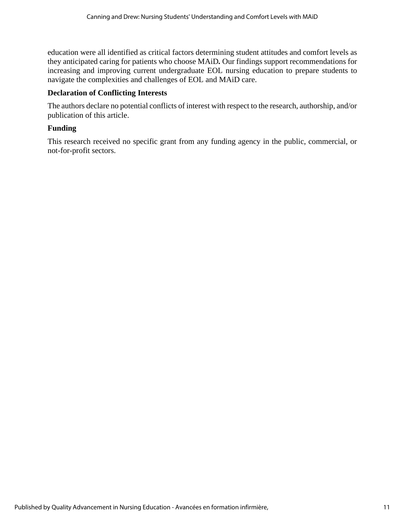education were all identified as critical factors determining student attitudes and comfort levels as they anticipated caring for patients who choose MAiD*.* Our findings support recommendations for increasing and improving current undergraduate EOL nursing education to prepare students to navigate the complexities and challenges of EOL and MAiD care.

# **Declaration of Conflicting Interests**

The authors declare no potential conflicts of interest with respect to the research, authorship, and/or publication of this article.

# **Funding**

This research received no specific grant from any funding agency in the public, commercial, or not-for-profit sectors.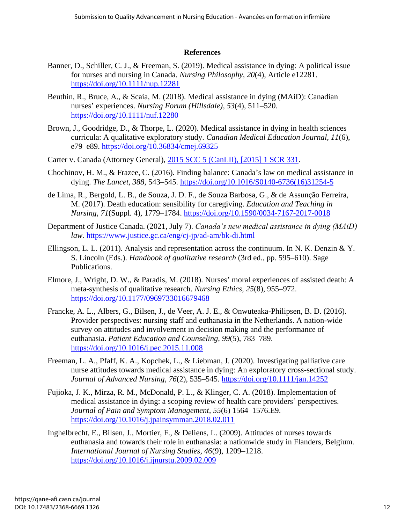## **References**

- Banner, D., Schiller, C. J., & Freeman, S. (2019). Medical assistance in dying: A political issue for nurses and nursing in Canada. *Nursing Philosophy, 20*(4), Article e12281. https://doi.org/10.1111/nup.12281
- Beuthin, R., Bruce, A., & Scaia, M. (2018). Medical assistance in dying (MAiD): Canadian nurses' experiences. *Nursing Forum (Hillsdale), 53*(4), 511–520. https://doi.org/10.1111/nuf.12280
- Brown, J., Goodridge, D., & Thorpe, L. (2020). Medical assistance in dying in health sciences curricula: A qualitative exploratory study. *Canadian Medical Education Journal, 11*(6), e79–e89. https://doi.org/10.36834/cmej.69325
- Carter v. Canada (Attorney General), 2015 SCC 5 (CanLII), [2015] 1 SCR 331.
- Chochinov, H. M., & Frazee, C. (2016). Finding balance: Canada's law on medical assistance in dying. *The Lancet, 388*, 543–545. [https://doi.org/10.1016/S0140-6736\(16\)31254-5](https://doi.org/10.1016/S0140-6736(16)31254-5)
- de Lima, R., Bergold, L. B., de Souza, J. D. F., de Souza Barbosa, G., & de Assunção Ferreira, M. (2017). Death education: sensibility for caregiving. *Education and Teaching in Nursing, 71*(Suppl. 4), 1779–1784. https://doi.org/10.1590/0034-7167-2017-0018
- Department of Justice Canada. (2021, July 7). *Canada's new medical assistance in dying (MAiD) law.* https://www.justice.gc.ca/eng/cj-jp/ad-am/bk-di.html
- Ellingson, L. L. (2011). Analysis and representation across the continuum. In N. K. Denzin & Y. S. Lincoln (Eds.). *Handbook of qualitative research* (3rd ed., pp. 595–610). Sage Publications.
- Elmore, J., Wright, D. W., & Paradis, M. (2018). Nurses' moral experiences of assisted death: A meta-synthesis of qualitative research. *Nursing Ethics, 25*(8), 955–972. https://doi.org/10.1177/0969733016679468
- Francke, A. L., Albers, G., Bilsen, J., de Veer, A. J. E., & Onwuteaka-Philipsen, B. D. (2016). Provider perspectives: nursing staff and euthanasia in the Netherlands. A nation-wide survey on attitudes and involvement in decision making and the performance of euthanasia. *Patient Education and Counseling, 99*(5), 783–789. https://doi.org/10.1016/j.pec.2015.11.008
- Freeman, L. A., Pfaff, K. A., Kopchek, L., & Liebman, J. (2020). Investigating palliative care nurse attitudes towards medical assistance in dying: An exploratory cross-sectional study. *Journal of Advanced Nursing*, *76*(2), 535–545. https://doi.org/10.1111/jan.14252
- Fujioka, J. K., Mirza, R. M., McDonald, P. L., & Klinger, C. A. (2018). Implementation of medical assistance in dying: a scoping review of health care providers' perspectives. *Journal of Pain and Symptom Management, 55*(6) 1564–1576.E9. https://doi.org/10.1016/j.jpainsymman.2018.02.011
- Inghelbrecht, E., Bilsen, J., Mortier, F., & Deliens, L. (2009). Attitudes of nurses towards euthanasia and towards their role in euthanasia: a nationwide study in Flanders, Belgium*. International Journal of Nursing Studies, 46*(9), 1209–1218. https://doi.org/10.1016/j.ijnurstu.2009.02.009